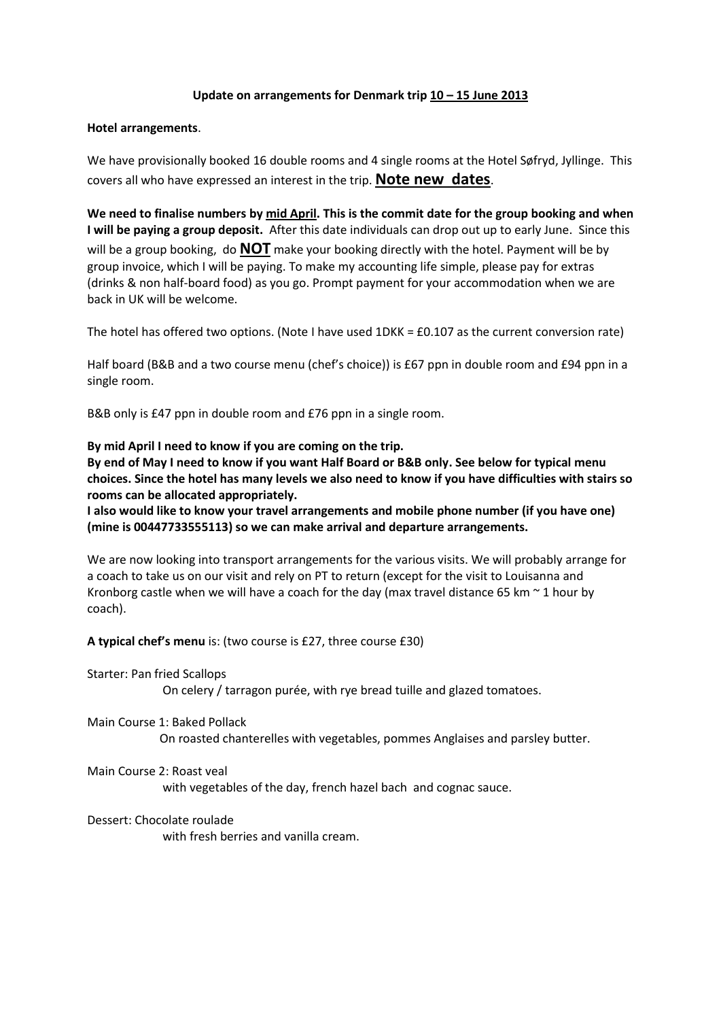# **Update on arrangements for Denmark trip 10 – 15 June 2013**

## **Hotel arrangements**.

We have provisionally booked 16 double rooms and 4 single rooms at the Hotel Søfryd, Jyllinge. This covers all who have expressed an interest in the trip. **Note new dates**.

**We need to finalise numbers by mid April. This is the commit date for the group booking and when I will be paying a group deposit.** After this date individuals can drop out up to early June. Since this will be a group booking, do **NOT** make your booking directly with the hotel. Payment will be by group invoice, which I will be paying. To make my accounting life simple, please pay for extras (drinks & non half-board food) as you go. Prompt payment for your accommodation when we are back in UK will be welcome.

The hotel has offered two options. (Note I have used 1DKK = £0.107 as the current conversion rate)

Half board (B&B and a two course menu (chef's choice)) is £67 ppn in double room and £94 ppn in a single room.

B&B only is £47 ppn in double room and £76 ppn in a single room.

**By mid April I need to know if you are coming on the trip.**

**By end of May I need to know if you want Half Board or B&B only. See below for typical menu choices. Since the hotel has many levels we also need to know if you have difficulties with stairs so rooms can be allocated appropriately.**

**I also would like to know your travel arrangements and mobile phone number (if you have one) (mine is 00447733555113) so we can make arrival and departure arrangements.**

We are now looking into transport arrangements for the various visits. We will probably arrange for a coach to take us on our visit and rely on PT to return (except for the visit to Louisanna and Kronborg castle when we will have a coach for the day (max travel distance 65 km  $\sim$  1 hour by coach).

**A typical chef's menu** is: (two course is £27, three course £30)

Starter: Pan fried Scallops

On celery / tarragon purée, with rye bread tuille and glazed tomatoes.

Main Course 1: Baked Pollack On roasted chanterelles with vegetables, pommes Anglaises and parsley butter.

Main Course 2: Roast veal

with vegetables of the day, french hazel bach and cognac sauce.

## Dessert: Chocolate roulade

with fresh berries and vanilla cream.